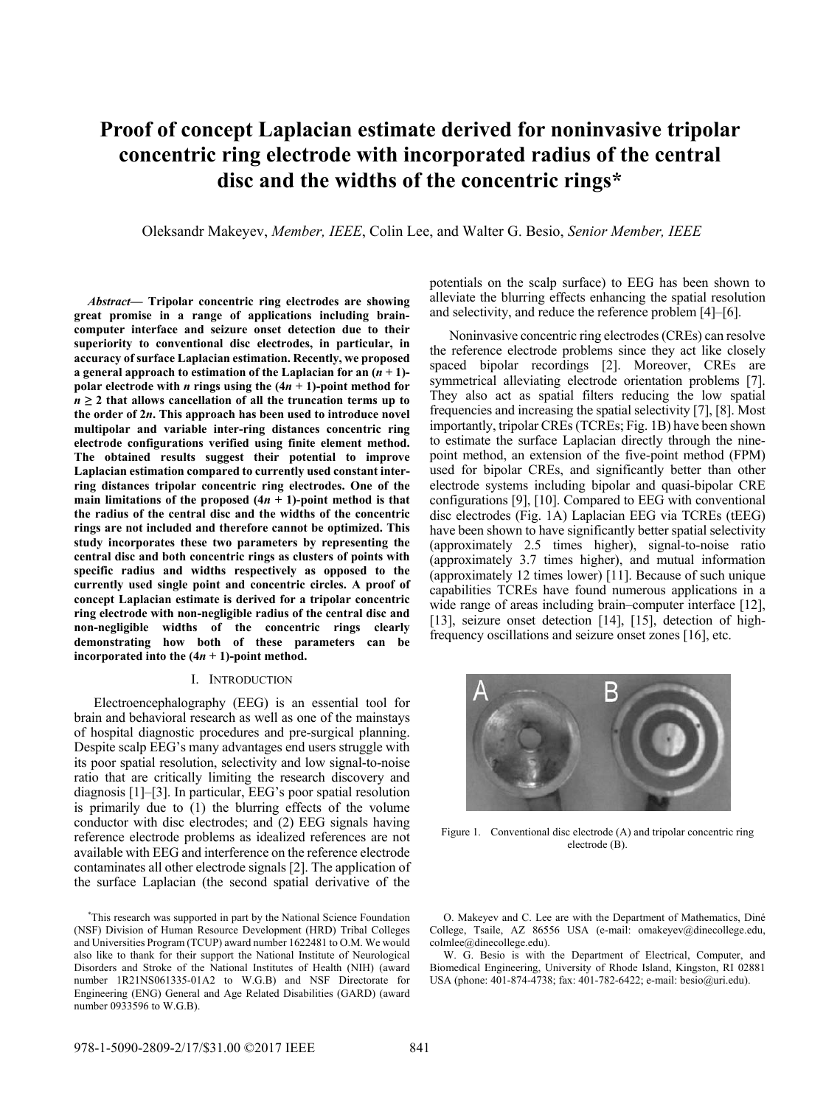# **Proof of concept Laplacian estimate derived for noninvasive tripolar concentric ring electrode with incorporated radius of the central disc and the widths of the concentric rings\***

Oleksandr Makeyev, *Member, IEEE*, Colin Lee, and Walter G. Besio, *Senior Member, IEEE*

*Abstract***— Tripolar concentric ring electrodes are showing great promise in a range of applications including braincomputer interface and seizure onset detection due to their superiority to conventional disc electrodes, in particular, in accuracy of surface Laplacian estimation. Recently, we proposed a general approach to estimation of the Laplacian for an**  $(n + 1)$ **polar electrode with** *n* **rings using the**  $(4n + 1)$ **-point method for**  $n \geq 2$  that allows cancellation of all the truncation terms up to **the order of 2***n***. This approach has been used to introduce novel multipolar and variable inter-ring distances concentric ring electrode configurations verified using finite element method. The obtained results suggest their potential to improve Laplacian estimation compared to currently used constant interring distances tripolar concentric ring electrodes. One of the main limitations of the proposed**  $(4n + 1)$ **-point method is that the radius of the central disc and the widths of the concentric rings are not included and therefore cannot be optimized. This study incorporates these two parameters by representing the central disc and both concentric rings as clusters of points with specific radius and widths respectively as opposed to the currently used single point and concentric circles. A proof of concept Laplacian estimate is derived for a tripolar concentric ring electrode with non-negligible radius of the central disc and non-negligible widths of the concentric rings clearly demonstrating how both of these parameters can be**  incorporated into the  $(4n + 1)$ -point method.

### I. INTRODUCTION

Electroencephalography (EEG) is an essential tool for brain and behavioral research as well as one of the mainstays of hospital diagnostic procedures and pre-surgical planning. Despite scalp EEG's many advantages end users struggle with its poor spatial resolution, selectivity and low signal-to-noise ratio that are critically limiting the research discovery and diagnosis [1]–[3]. In particular, EEG's poor spatial resolution is primarily due to (1) the blurring effects of the volume conductor with disc electrodes; and (2) EEG signals having reference electrode problems as idealized references are not available with EEG and interference on the reference electrode contaminates all other electrode signals [2]. The application of the surface Laplacian (the second spatial derivative of the

potentials on the scalp surface) to EEG has been shown to alleviate the blurring effects enhancing the spatial resolution and selectivity, and reduce the reference problem [4]–[6].

Noninvasive concentric ring electrodes (CREs) can resolve the reference electrode problems since they act like closely spaced bipolar recordings [2]. Moreover, CREs are symmetrical alleviating electrode orientation problems [7]. They also act as spatial filters reducing the low spatial frequencies and increasing the spatial selectivity [7], [8]. Most importantly, tripolar CREs (TCREs; Fig. 1B) have been shown to estimate the surface Laplacian directly through the ninepoint method, an extension of the five-point method (FPM) used for bipolar CREs, and significantly better than other electrode systems including bipolar and quasi-bipolar CRE configurations [9], [10]. Compared to EEG with conventional disc electrodes (Fig. 1A) Laplacian EEG via TCREs (tEEG) have been shown to have significantly better spatial selectivity (approximately 2.5 times higher), signal-to-noise ratio (approximately 3.7 times higher), and mutual information (approximately 12 times lower) [11]. Because of such unique capabilities TCREs have found numerous applications in a wide range of areas including brain–computer interface [12], [13], seizure onset detection [14], [15], detection of highfrequency oscillations and seizure onset zones [16], etc.



Figure 1. Conventional disc electrode (A) and tripolar concentric ring electrode (B).

O. Makeyev and C. Lee are with the Department of Mathematics, Diné College, Tsaile, AZ 86556 USA (e-mail: omakeyev@dinecollege.edu, colmlee@dinecollege.edu).

W. G. Besio is with the Department of Electrical, Computer, and Biomedical Engineering, University of Rhode Island, Kingston, RI 02881 USA (phone: 401-874-4738; fax: 401-782-6422; e-mail: besio@uri.edu).

<sup>\*</sup> This research was supported in part by the National Science Foundation (NSF) Division of Human Resource Development (HRD) Tribal Colleges and Universities Program (TCUP) award number 1622481 to O.M. We would also like to thank for their support the National Institute of Neurological Disorders and Stroke of the National Institutes of Health (NIH) (award number 1R21NS061335-01A2 to W.G.B) and NSF Directorate for Engineering (ENG) General and Age Related Disabilities (GARD) (award number 0933596 to W.G.B).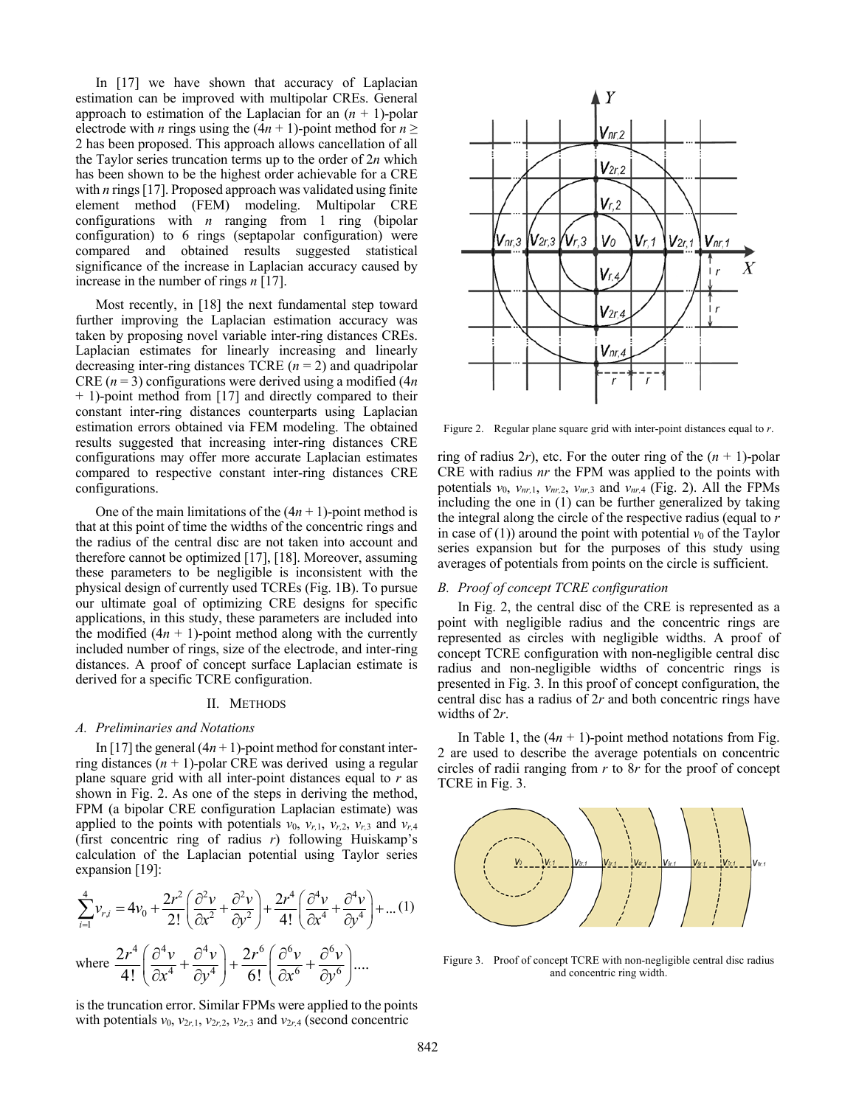In [17] we have shown that accuracy of Laplacian estimation can be improved with multipolar CREs. General approach to estimation of the Laplacian for an  $(n + 1)$ -polar electrode with *n* rings using the  $(4n + 1)$ -point method for  $n \ge$ 2 has been proposed. This approach allows cancellation of all the Taylor series truncation terms up to the order of 2*n* which has been shown to be the highest order achievable for a CRE with *n* rings [17]. Proposed approach was validated using finite element method (FEM) modeling. Multipolar CRE configurations with *n* ranging from 1 ring (bipolar configuration) to 6 rings (septapolar configuration) were compared and obtained results suggested statistical significance of the increase in Laplacian accuracy caused by increase in the number of rings *n* [17].

Most recently, in [18] the next fundamental step toward further improving the Laplacian estimation accuracy was taken by proposing novel variable inter-ring distances CREs. Laplacian estimates for linearly increasing and linearly decreasing inter-ring distances TCRE (*n* = 2) and quadripolar CRE  $(n = 3)$  configurations were derived using a modified  $(4n)$ + 1)-point method from [17] and directly compared to their constant inter-ring distances counterparts using Laplacian estimation errors obtained via FEM modeling. The obtained results suggested that increasing inter-ring distances CRE configurations may offer more accurate Laplacian estimates compared to respective constant inter-ring distances CRE configurations.

One of the main limitations of the  $(4n + 1)$ -point method is that at this point of time the widths of the concentric rings and the radius of the central disc are not taken into account and therefore cannot be optimized [17], [18]. Moreover, assuming these parameters to be negligible is inconsistent with the physical design of currently used TCREs (Fig. 1B). To pursue our ultimate goal of optimizing CRE designs for specific applications, in this study, these parameters are included into the modified  $(4n + 1)$ -point method along with the currently included number of rings, size of the electrode, and inter-ring distances. A proof of concept surface Laplacian estimate is derived for a specific TCRE configuration.

#### II. METHODS

#### *A. Preliminaries and Notations*

In [17] the general  $(4n + 1)$ -point method for constant interring distances  $(n + 1)$ -polar CRE was derived using a regular plane square grid with all inter-point distances equal to *r* as shown in Fig. 2. As one of the steps in deriving the method, FPM (a bipolar CRE configuration Laplacian estimate) was applied to the points with potentials  $v_0$ ,  $v_{r,1}$ ,  $v_{r,2}$ ,  $v_{r,3}$  and  $v_{r,4}$ (first concentric ring of radius *r*) following Huiskamp's calculation of the Laplacian potential using Taylor series expansion [19]:

$$
\sum_{i=1}^{4} \nu_{r,i} = 4\nu_0 + \frac{2r^2}{2!} \left( \frac{\partial^2 \nu}{\partial x^2} + \frac{\partial^2 \nu}{\partial y^2} \right) + \frac{2r^4}{4!} \left( \frac{\partial^4 \nu}{\partial x^4} + \frac{\partial^4 \nu}{\partial y^4} \right) + \dots (1)
$$

where  $\frac{2r^4}{4!} \left( \frac{\partial^4 v}{\partial x^4} + \frac{\partial^4 v}{\partial y^4} \right) + \frac{2r^6}{6!} \left( \frac{\partial^6 v}{\partial x^6} + \frac{\partial^6 v}{\partial y^6} \right) \dots$  $r^4$  (  $\partial^4v$  ,  $\partial^4v$  )  $2r^6$  (  $\partial^6v$  ,  $\partial^6v$  $\left(\frac{\partial^4 v}{\partial x^4} + \frac{\partial^4 v}{\partial y^4}\right) + \frac{2r^6}{6!} \left(\frac{\partial^6 v}{\partial x^6} + \frac{\partial^6 v}{\partial y^6}\right)$  $(\partial x^{\sigma} \quad \partial y^{\sigma})$  6!  $(\partial x^{\sigma} \quad \partial y^{\sigma})$  $\left(\frac{\partial^4 v}{\partial x^4} + \frac{\partial^4 v}{\partial y^4}\right) + \frac{2r^6}{6} \left(\frac{\partial^6 v}{\partial y^6} + \frac{\partial^4 v}{\partial y^4}\right)$  $\partial x^4$   $\partial y^4$  ) 6!  $\partial x^6$   $\partial$ 

is the truncation error. Similar FPMs were applied to the points with potentials  $v_0$ ,  $v_{2r,1}$ ,  $v_{2r,2}$ ,  $v_{2r,3}$  and  $v_{2r,4}$  (second concentric



Figure 2. Regular plane square grid with inter-point distances equal to *r*.

ring of radius 2*r*), etc. For the outer ring of the  $(n + 1)$ -polar CRE with radius *nr* the FPM was applied to the points with potentials  $v_0$ ,  $v_{nr,1}$ ,  $v_{nr,2}$ ,  $v_{nr,3}$  and  $v_{nr,4}$  (Fig. 2). All the FPMs including the one in (1) can be further generalized by taking the integral along the circle of the respective radius (equal to *r* in case of (1)) around the point with potential  $v_0$  of the Taylor series expansion but for the purposes of this study using averages of potentials from points on the circle is sufficient.

# *B. Proof of concept TCRE configuration*

In Fig. 2, the central disc of the CRE is represented as a point with negligible radius and the concentric rings are represented as circles with negligible widths. A proof of concept TCRE configuration with non-negligible central disc radius and non-negligible widths of concentric rings is presented in Fig. 3. In this proof of concept configuration, the central disc has a radius of 2*r* and both concentric rings have widths of 2*r*.

In Table 1, the  $(4n + 1)$ -point method notations from Fig. 2 are used to describe the average potentials on concentric circles of radii ranging from *r* to 8*r* for the proof of concept TCRE in Fig. 3.



Figure 3. Proof of concept TCRE with non-negligible central disc radius and concentric ring width.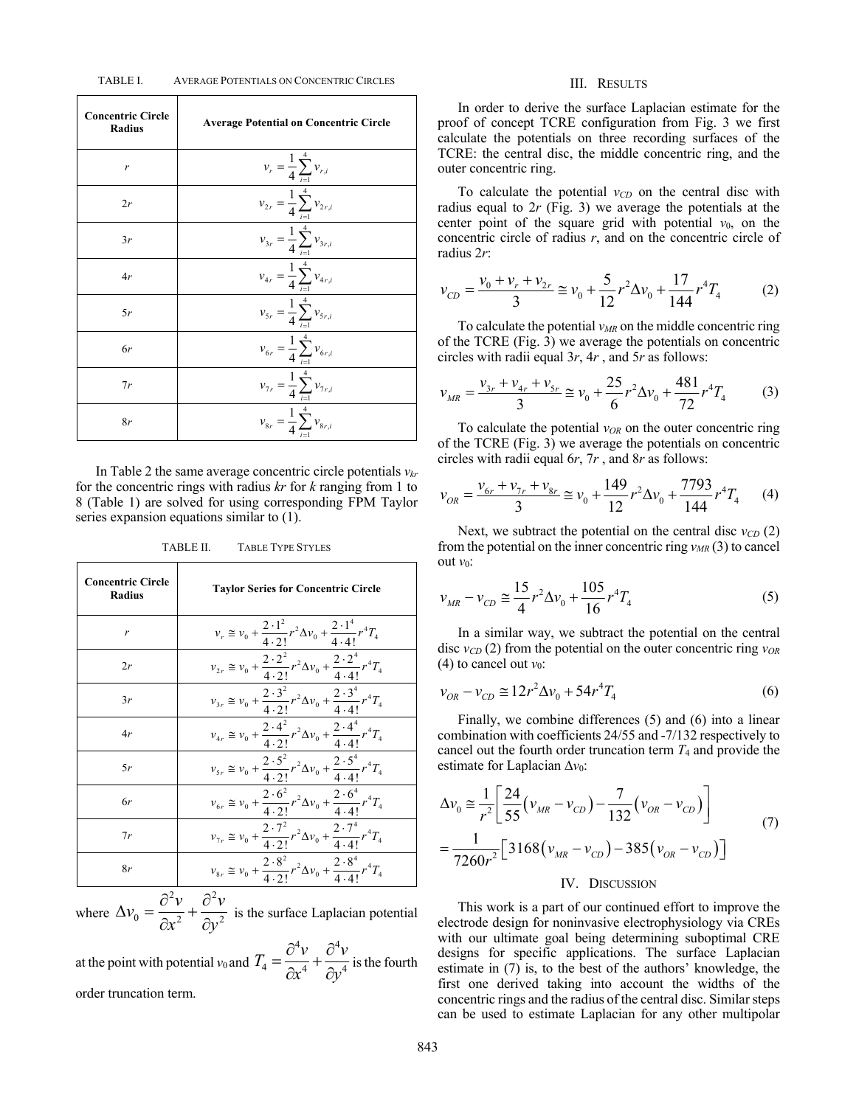#### TABLE I. AVERAGE POTENTIALS ON CONCENTRIC CIRCLES

| <b>Concentric Circle</b><br><b>Radius</b> | <b>Average Potential on Concentric Circle</b>  |
|-------------------------------------------|------------------------------------------------|
| r                                         | $v_r = \frac{1}{4} \sum_{i=1}^{4} v_{r,i}$     |
| 2r                                        | $v_{2r} = \frac{1}{4} \sum_{i=1}^{4} v_{2r,i}$ |
| 3r                                        | $v_{3r} = \frac{1}{4} \sum_{i=1}^{4} v_{3r,i}$ |
| 4r                                        | $v_{4r} = \frac{1}{4} \sum_{i=1}^{4} v_{4r,i}$ |
| 5r                                        | $v_{5r} = \frac{1}{4} \sum_{i=1}^{4} v_{5r,i}$ |
| 6r                                        | $v_{6r} = \frac{1}{4} \sum_{i=1}^{4} v_{6r,i}$ |
| 7r                                        | $v_{7r} = \frac{1}{4} \sum_{i=1}^{4} v_{7r,i}$ |
| 8r                                        | $v_{8r} = \frac{1}{4} \sum_{i=1}^{4} v_{8r,i}$ |

In Table 2 the same average concentric circle potentials  $v_{kr}$ for the concentric rings with radius *kr* for *k* ranging from 1 to 8 (Table 1) are solved for using corresponding FPM Taylor series expansion equations similar to (1).

TABLE II. TABLE TYPE STYLES

| <b>Concentric Circle</b><br><b>Radius</b> | <b>Taylor Series for Concentric Circle</b>                                                                   |
|-------------------------------------------|--------------------------------------------------------------------------------------------------------------|
| r                                         | $v_r \approx v_0 + \frac{2 \cdot 1^2}{4 \cdot 2!} r^2 \Delta v_0 + \frac{2 \cdot 1^4}{4 \cdot 4!} r^4 T_4$   |
| 2r                                        | $v_{2r} \cong v_0 + \frac{2 \cdot 2^2}{4 \cdot 2!} r^2 \Delta v_0 + \frac{2 \cdot 2^4}{4 \cdot 4!} r^4 T_4$  |
| 3r                                        | $v_{3r} \cong v_0 + \frac{2 \cdot 3^2}{4 \cdot 2!} r^2 \Delta v_0 + \frac{2 \cdot 3^4}{4 \cdot 4!} r^4 T_4$  |
| 4r                                        | $v_{4r} \cong v_0 + \frac{2 \cdot 4^2}{4 \cdot 2!} r^2 \Delta v_0 + \frac{2 \cdot 4^4}{4 \cdot 4!} r^4 T_4$  |
| 5r                                        | $v_{s_r} \cong v_0 + \frac{2 \cdot 5^2}{4 \cdot 2!} r^2 \Delta v_0 + \frac{2 \cdot 5^4}{4 \cdot 4!} r^4 T_4$ |
| 6r                                        | $v_{6r} \cong v_0 + \frac{2 \cdot 6^2}{4 \cdot 2!} r^2 \Delta v_0 + \frac{2 \cdot 6^4}{4 \cdot 4!} r^4 T_4$  |
| 7r                                        | $v_{7r} \cong v_0 + \frac{2 \cdot 7^2}{4 \cdot 2!} r^2 \Delta v_0 + \frac{2 \cdot 7^4}{4 \cdot 4!} r^4 T_4$  |
| 8r                                        | $v_{8r} \cong v_0 + \frac{2 \cdot 8^2}{4 \cdot 2!} r^2 \Delta v_0 + \frac{2 \cdot 8^4}{4 \cdot 4!} r^4 T_4$  |

where 2.  $2^2$  $0 = \overline{\lambda x^2} + \overline{\lambda x^2}$  $v_0 = \frac{\partial^2 v}{\partial x^2} + \frac{\partial^2 v}{\partial y^2}$  $x^2$  *dy*  $\Delta v_0 = \frac{\partial^2 v}{\partial x^2} + \frac{\partial^2 v}{\partial y^2}$  $\frac{\partial}{\partial x^2} + \frac{\partial}{\partial y^2}$  is the surface Laplacian potential

at the point with potential  $v_0$  and 4.,  $2^4$  $T_4 = \frac{\partial^4 v}{\partial x^4} + \frac{\partial^4 v}{\partial y^4}$  $x^4$  *dy*  $=\frac{\partial^4 v}{\partial 4}+\frac{\partial^4 v}{\partial 4}$  $\frac{\partial x^4}{\partial x^4} + \frac{\partial y^4}{\partial y^4}$  is the fourth order truncation term.

#### III. RESULTS

In order to derive the surface Laplacian estimate for the proof of concept TCRE configuration from Fig. 3 we first calculate the potentials on three recording surfaces of the TCRE: the central disc, the middle concentric ring, and the outer concentric ring.

To calculate the potential  $v_{CD}$  on the central disc with radius equal to 2*r* (Fig. 3) we average the potentials at the center point of the square grid with potential  $v_0$ , on the concentric circle of radius *r*, and on the concentric circle of radius 2*r*:

$$
v_{CD} = \frac{v_0 + v_r + v_{2r}}{3} \approx v_0 + \frac{5}{12}r^2 \Delta v_0 + \frac{17}{144}r^4 T_4 \tag{2}
$$

To calculate the potential  $v_{MR}$  on the middle concentric ring of the TCRE (Fig. 3) we average the potentials on concentric circles with radii equal 3*r*, 4*r* , and 5*r* as follows:

$$
v_{MR} = \frac{v_{3r} + v_{4r} + v_{5r}}{3} \approx v_0 + \frac{25}{6}r^2 \Delta v_0 + \frac{481}{72}r^4 T_4 \tag{3}
$$

To calculate the potential  $v_{OR}$  on the outer concentric ring of the TCRE (Fig. 3) we average the potentials on concentric circles with radii equal 6*r*, 7*r* , and 8*r* as follows:

$$
v_{OR} = \frac{v_{6r} + v_{7r} + v_{8r}}{3} \approx v_0 + \frac{149}{12}r^2 \Delta v_0 + \frac{7793}{144}r^4 T_4 \tag{4}
$$

Next, we subtract the potential on the central disc  $v_{CD}(2)$ from the potential on the inner concentric ring  $v_{MR}(3)$  to cancel out *v*0:

$$
v_{MR} - v_{CD} \approx \frac{15}{4} r^2 \Delta v_0 + \frac{105}{16} r^4 T_4
$$
 (5)

In a similar way, we subtract the potential on the central disc *vCD* (2) from the potential on the outer concentric ring *vOR* (4) to cancel out  $v_0$ :

$$
v_{OR} - v_{CD} \cong 12r^2 \Delta v_0 + 54r^4 T_4 \tag{6}
$$

Finally, we combine differences (5) and (6) into a linear combination with coefficients 24/55 and -7/132 respectively to cancel out the fourth order truncation term  $T_4$  and provide the estimate for Laplacian ∆*v*0:

$$
\Delta v_0 \approx \frac{1}{r^2} \left[ \frac{24}{55} (v_{MR} - v_{CD}) - \frac{7}{132} (v_{OR} - v_{CD}) \right]
$$
  
= 
$$
\frac{1}{7260r^2} \left[ 3168 (v_{MR} - v_{CD}) - 385 (v_{OR} - v_{CD}) \right]
$$

#### IV. DISCUSSION

This work is a part of our continued effort to improve the electrode design for noninvasive electrophysiology via CREs with our ultimate goal being determining suboptimal CRE designs for specific applications. The surface Laplacian estimate in (7) is, to the best of the authors' knowledge, the first one derived taking into account the widths of the concentric rings and the radius of the central disc. Similar steps can be used to estimate Laplacian for any other multipolar